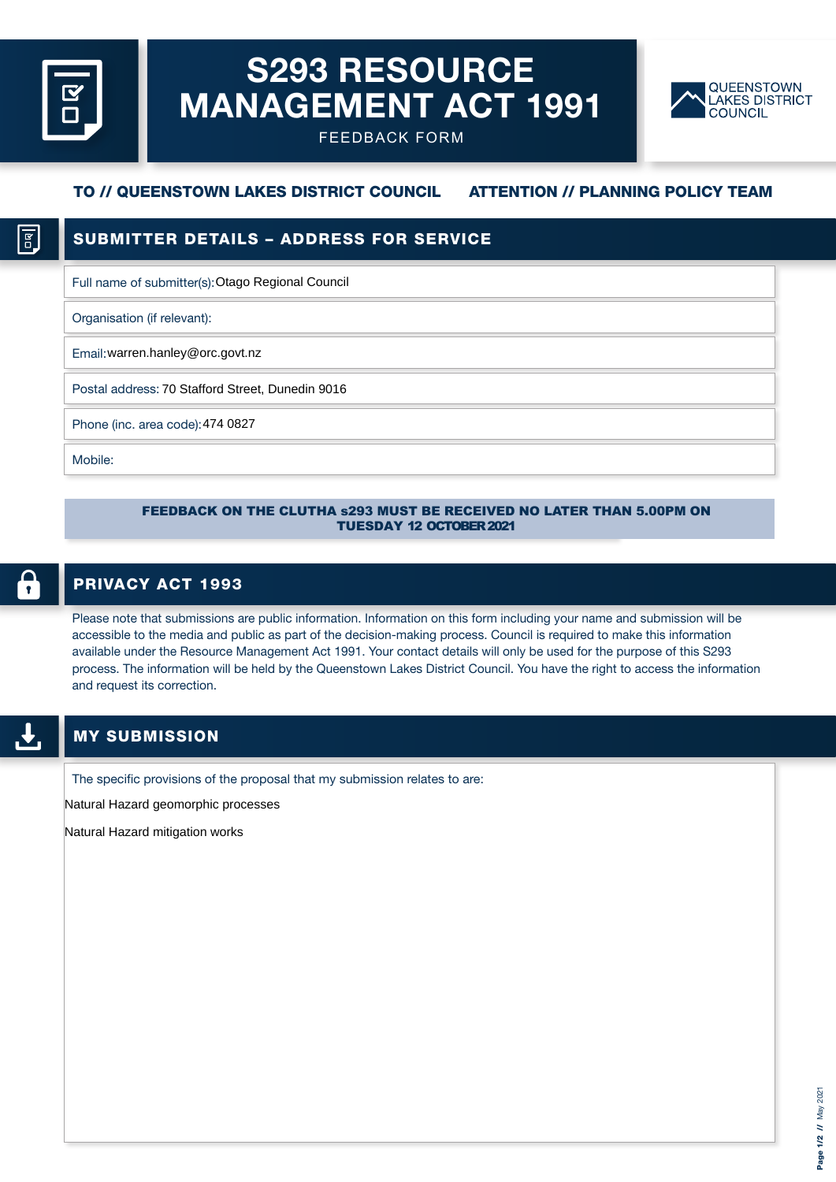# S293 RESOURCE MANAGEMENT ACT 1991



FEEDBACK FORM

# TO // QUEENSTOWN LAKES DISTRICT COUNCIL ATTENTION // PLANNING POLICY TEAM

### 1 g

# SUBMITTER DETAILS – ADDRESS FOR SERVICE

Full name of submitter(s): Otago Regional Council

Organisation (if relevant):

Email: warren.hanley@orc.govt.nz

Postal address: 70 Stafford Street, Dunedin 9016

Phone (inc. area code): 474 0827

Mobile:

#### FEEDBACK ON THE CLUTHA s293 MUST BE RECEIVED NO LATER THAN 5.00PM ON TUESDAY 12 OCTOBER 2021

# $\bullet$

### PRIVACY ACT 1993

Please note that submissions are public information. Information on this form including your name and submission will be accessible to the media and public as part of the decision-making process. Council is required to make this information available under the Resource Management Act 1991. Your contact details will only be used for the purpose of this S293 process. The information will be held by the Queenstown Lakes District Council. You have the right to access the information and request its correction.

### MY SUBMISSION

The specific provisions of the proposal that my submission relates to are:

Natural Hazard geomorphic processes

Natural Hazard mitigation works